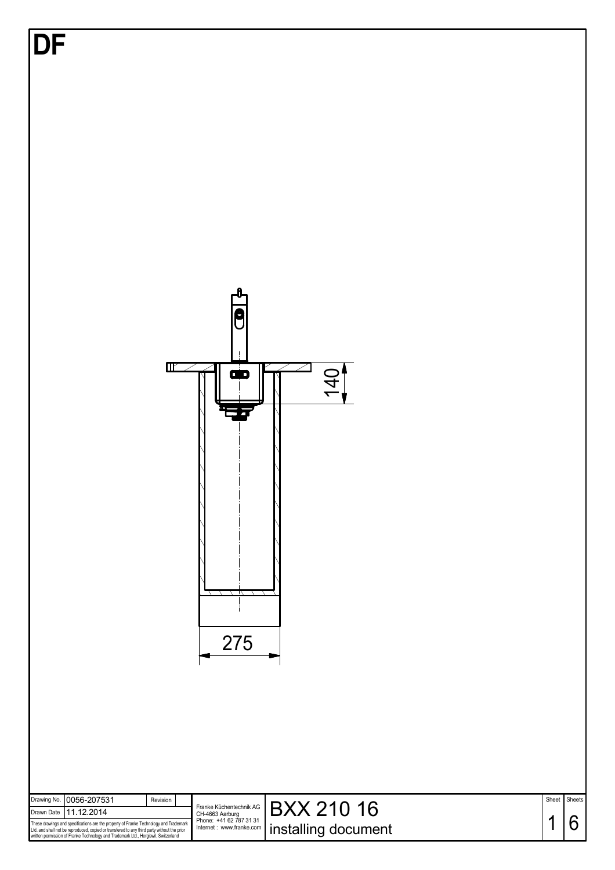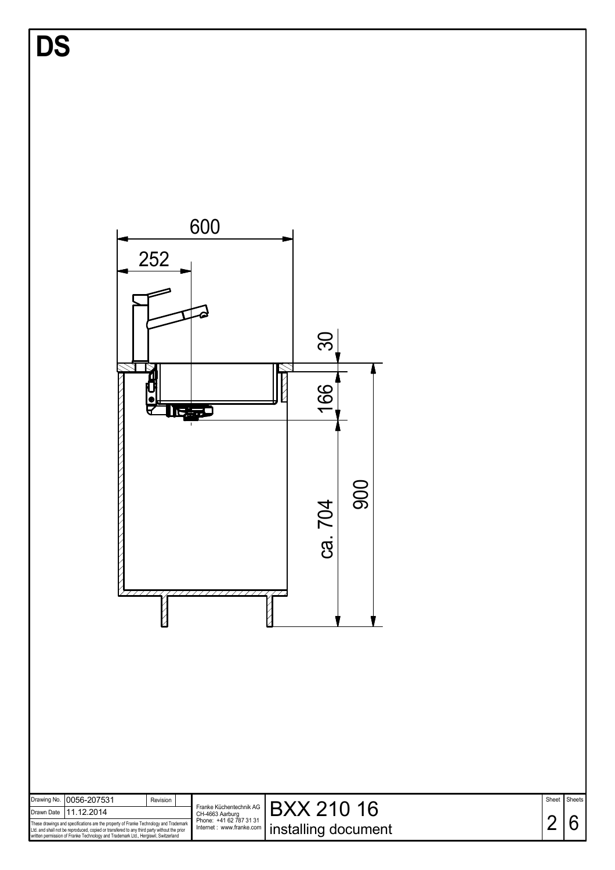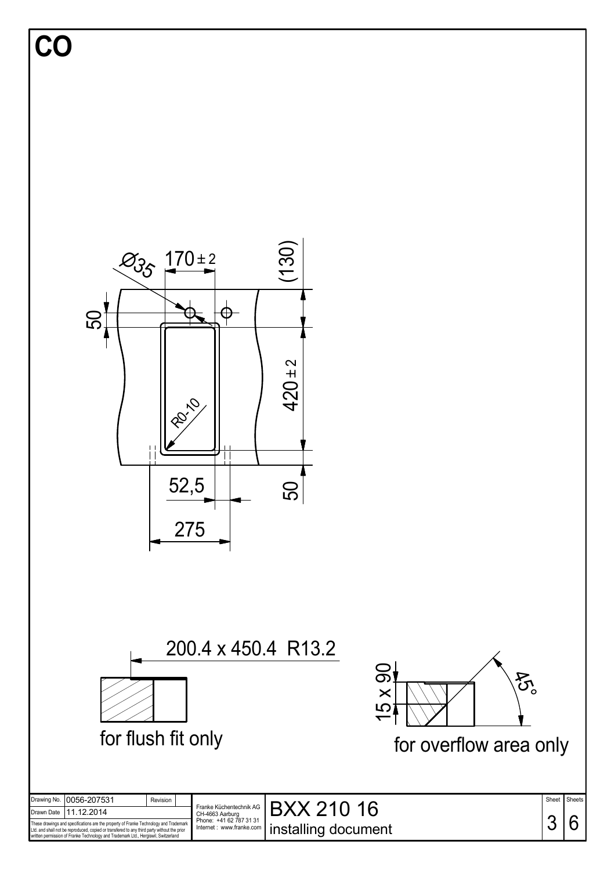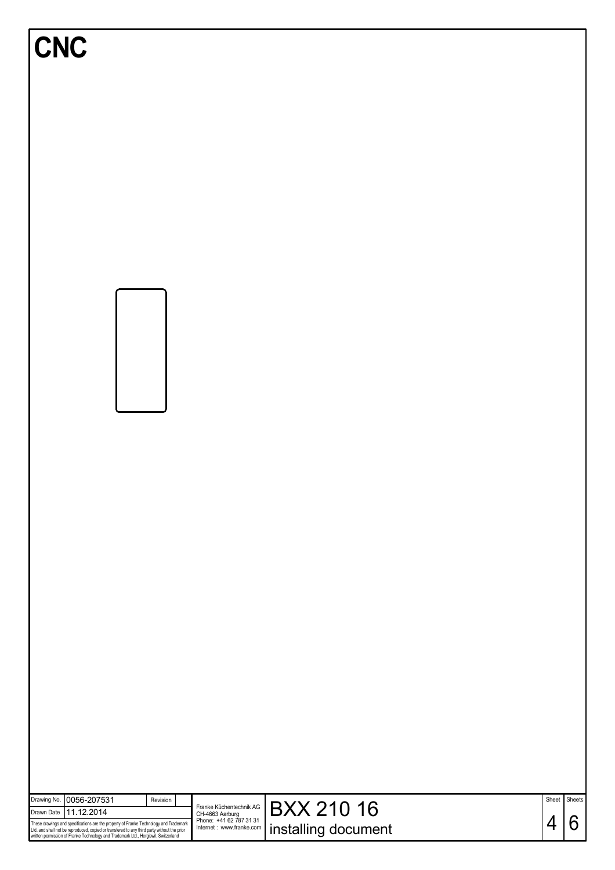| <b>CNC</b>                                                                                                                                                                                                                                                                                                |                                                                                                    |                                          |   |                   |
|-----------------------------------------------------------------------------------------------------------------------------------------------------------------------------------------------------------------------------------------------------------------------------------------------------------|----------------------------------------------------------------------------------------------------|------------------------------------------|---|-------------------|
|                                                                                                                                                                                                                                                                                                           |                                                                                                    |                                          |   |                   |
| 0056-207531<br>Drawing No.<br>Revision<br>11.12.2014<br>Drawn Date<br>These drawings and specifications are the property of Franke Technology and Trademark<br>Ltd. and shall not be reproduced, copied or transfered to any third party without the prior<br>written permission of Franke Technology and | Franke Küchentechnik AG<br>CH-4663 Aarburg<br>Phone: +41 62 787 31 31<br>Internet : www.franke.com | <b>BXX 210 16</b><br>installing document | 4 | Sheet Sheets<br>6 |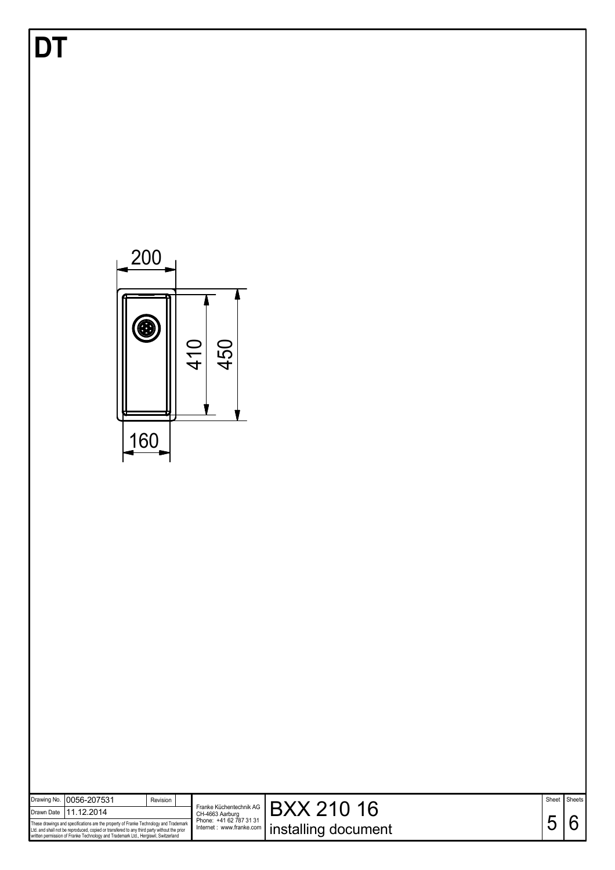| DT                                                                                                                                                                                                                                                                             | 200<br>$\bm{\Theta}$<br>410<br>450                                                                                                                         |            |             |
|--------------------------------------------------------------------------------------------------------------------------------------------------------------------------------------------------------------------------------------------------------------------------------|------------------------------------------------------------------------------------------------------------------------------------------------------------|------------|-------------|
| 0056-207531                                                                                                                                                                                                                                                                    | 160                                                                                                                                                        |            |             |
| Drawing No.<br>11.12.2014<br>Drawn Date<br>These drawings and specifications are the property of Franke Technology and Trademark<br>Ltd. and shall not be reproduced, copied or transfered to any third party without the prior<br>written permission of Franke Technology and | Revision<br><b>BXX 210 16</b><br>Franke Küchentechnik AG<br>CH-4663 Aarburg<br>Phone: +41 62 787 31 31<br>installing document<br>Internet : www.franke.com | Sheet<br>5 | Sheets<br>6 |